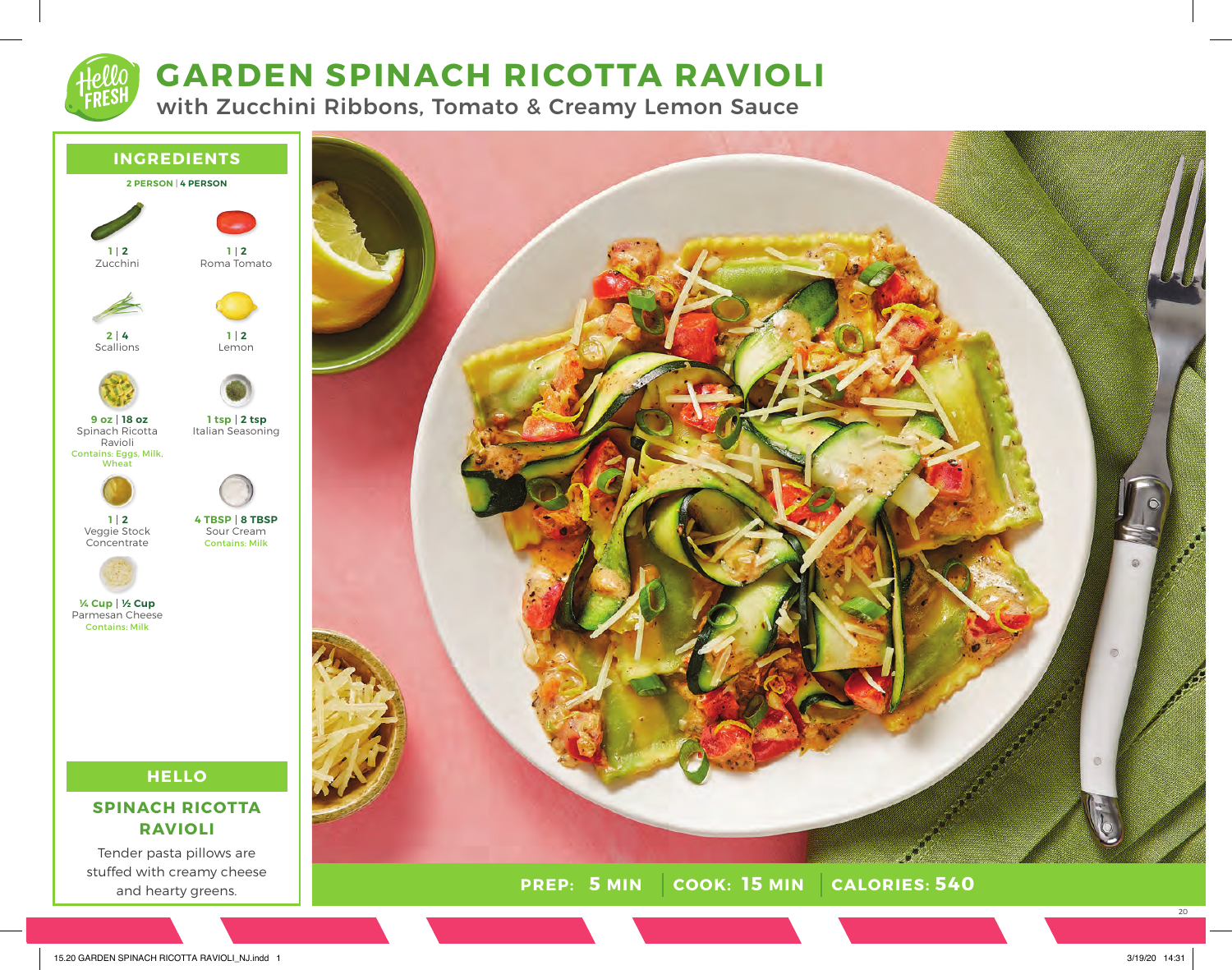# **GARDEN SPINACH RICOTTA RAVIOLI**

with Zucchini Ribbons, Tomato & Creamy Lemon Sauce





20